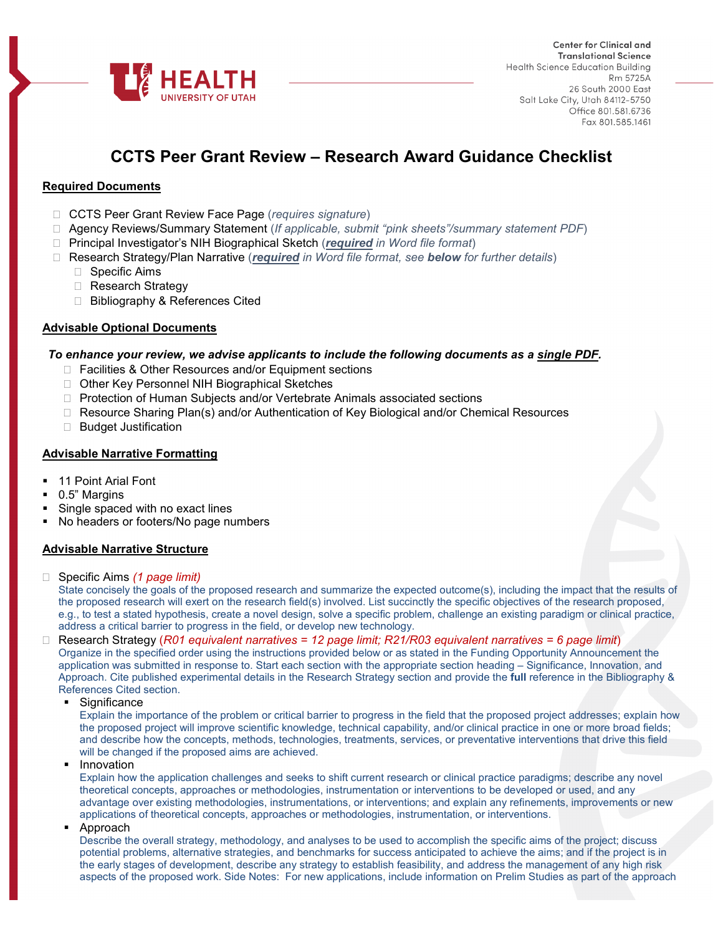

# **CCTS Peer Grant Review – Research Award Guidance Checklist**

# **Required Documents**

- CCTS Peer Grant Review Face Page (*requires signature*)
- Agency Reviews/Summary Statement (*If applicable, submit "pink sheets"/summary statement PDF*)
- Principal Investigator's NIH Biographical Sketch (*required in Word file format*)
- Research Strategy/Plan Narrative (*required in Word file format, see below for further details*)
	- □ Specific Aims
	- □ Research Strategy
	- □ Bibliography & References Cited

### **Advisable Optional Documents**

### *To enhance your review, we advise applicants to include the following documents as a single PDF.*

- □ Facilities & Other Resources and/or Equipment sections
- □ Other Key Personnel NIH Biographical Sketches
- □ Protection of Human Subjects and/or Vertebrate Animals associated sections
- □ Resource Sharing Plan(s) and/or Authentication of Key Biological and/or Chemical Resources
- □ Budget Justification

### **Advisable Narrative Formatting**

- 11 Point Arial Font
- 0.5" Margins
- Single spaced with no exact lines
- No headers or footers/No page numbers

### **Advisable Narrative Structure**

□ Specific Aims (1 page limit)

State concisely the goals of the proposed research and summarize the expected outcome(s), including the impact that the results of the proposed research will exert on the research field(s) involved. List succinctly the specific objectives of the research proposed, e.g., to test a stated hypothesis, create a novel design, solve a specific problem, challenge an existing paradigm or clinical practice, address a critical barrier to progress in the field, or develop new technology.

#### Research Strategy (*R01 equivalent narratives = 12 page limit; R21/R03 equivalent narratives = 6 page limit*) Organize in the specified order using the instructions provided below or as stated in the Funding Opportunity Announcement the application was submitted in response to. Start each section with the appropriate section heading – Significance, Innovation, and Approach. Cite published experimental details in the Research Strategy section and provide the **full** reference in the Bibliography & References Cited section.

**Significance** 

Explain the importance of the problem or critical barrier to progress in the field that the proposed project addresses; explain how the proposed project will improve scientific knowledge, technical capability, and/or clinical practice in one or more broad fields; and describe how the concepts, methods, technologies, treatments, services, or preventative interventions that drive this field will be changed if the proposed aims are achieved.

Innovation

Explain how the application challenges and seeks to shift current research or clinical practice paradigms; describe any novel theoretical concepts, approaches or methodologies, instrumentation or interventions to be developed or used, and any advantage over existing methodologies, instrumentations, or interventions; and explain any refinements, improvements or new applications of theoretical concepts, approaches or methodologies, instrumentation, or interventions.

• Approach

Describe the overall strategy, methodology, and analyses to be used to accomplish the specific aims of the project; discuss potential problems, alternative strategies, and benchmarks for success anticipated to achieve the aims; and if the project is in the early stages of development, describe any strategy to establish feasibility, and address the management of any high risk aspects of the proposed work. Side Notes: For new applications, include information on Prelim Studies as part of the approach